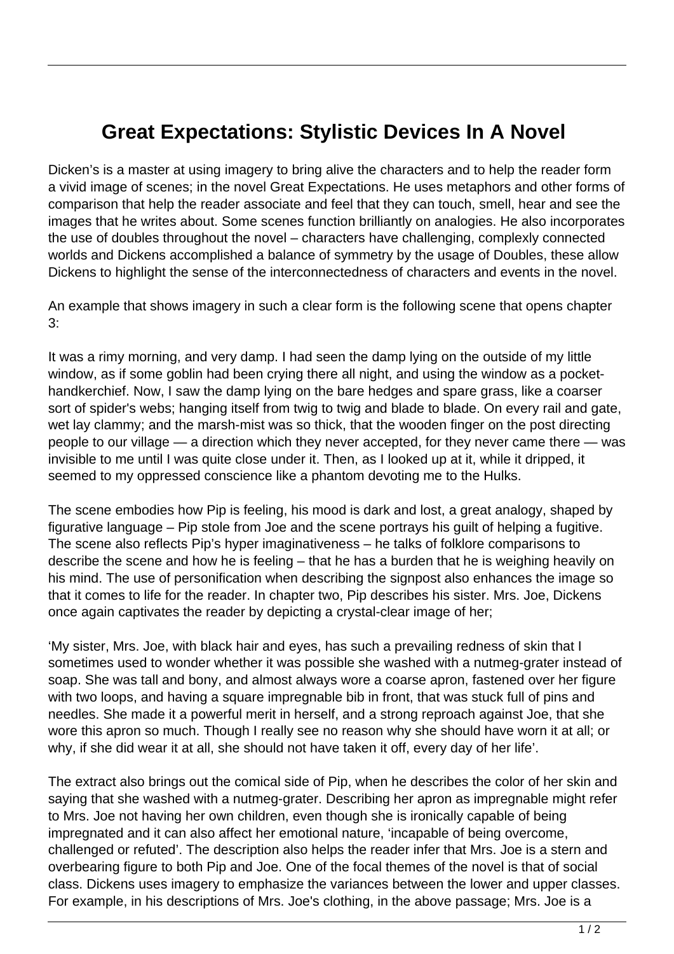## **Great Expectations: Stylistic Devices In A Novel**

Dicken's is a master at using imagery to bring alive the characters and to help the reader form a vivid image of scenes; in the novel Great Expectations. He uses metaphors and other forms of comparison that help the reader associate and feel that they can touch, smell, hear and see the images that he writes about. Some scenes function brilliantly on analogies. He also incorporates the use of doubles throughout the novel – characters have challenging, complexly connected worlds and Dickens accomplished a balance of symmetry by the usage of Doubles, these allow Dickens to highlight the sense of the interconnectedness of characters and events in the novel.

An example that shows imagery in such a clear form is the following scene that opens chapter 3:

It was a rimy morning, and very damp. I had seen the damp lying on the outside of my little window, as if some goblin had been crying there all night, and using the window as a pockethandkerchief. Now, I saw the damp lying on the bare hedges and spare grass, like a coarser sort of spider's webs; hanging itself from twig to twig and blade to blade. On every rail and gate, wet lay clammy; and the marsh-mist was so thick, that the wooden finger on the post directing people to our village — a direction which they never accepted, for they never came there — was invisible to me until I was quite close under it. Then, as I looked up at it, while it dripped, it seemed to my oppressed conscience like a phantom devoting me to the Hulks.

The scene embodies how Pip is feeling, his mood is dark and lost, a great analogy, shaped by figurative language – Pip stole from Joe and the scene portrays his guilt of helping a fugitive. The scene also reflects Pip's hyper imaginativeness – he talks of folklore comparisons to describe the scene and how he is feeling – that he has a burden that he is weighing heavily on his mind. The use of personification when describing the signpost also enhances the image so that it comes to life for the reader. In chapter two, Pip describes his sister. Mrs. Joe, Dickens once again captivates the reader by depicting a crystal-clear image of her;

'My sister, Mrs. Joe, with black hair and eyes, has such a prevailing redness of skin that I sometimes used to wonder whether it was possible she washed with a nutmeg-grater instead of soap. She was tall and bony, and almost always wore a coarse apron, fastened over her figure with two loops, and having a square impregnable bib in front, that was stuck full of pins and needles. She made it a powerful merit in herself, and a strong reproach against Joe, that she wore this apron so much. Though I really see no reason why she should have worn it at all; or why, if she did wear it at all, she should not have taken it off, every day of her life'.

The extract also brings out the comical side of Pip, when he describes the color of her skin and saying that she washed with a nutmeg-grater. Describing her apron as impregnable might refer to Mrs. Joe not having her own children, even though she is ironically capable of being impregnated and it can also affect her emotional nature, 'incapable of being overcome, challenged or refuted'. The description also helps the reader infer that Mrs. Joe is a stern and overbearing figure to both Pip and Joe. One of the focal themes of the novel is that of social class. Dickens uses imagery to emphasize the variances between the lower and upper classes. For example, in his descriptions of Mrs. Joe's clothing, in the above passage; Mrs. Joe is a